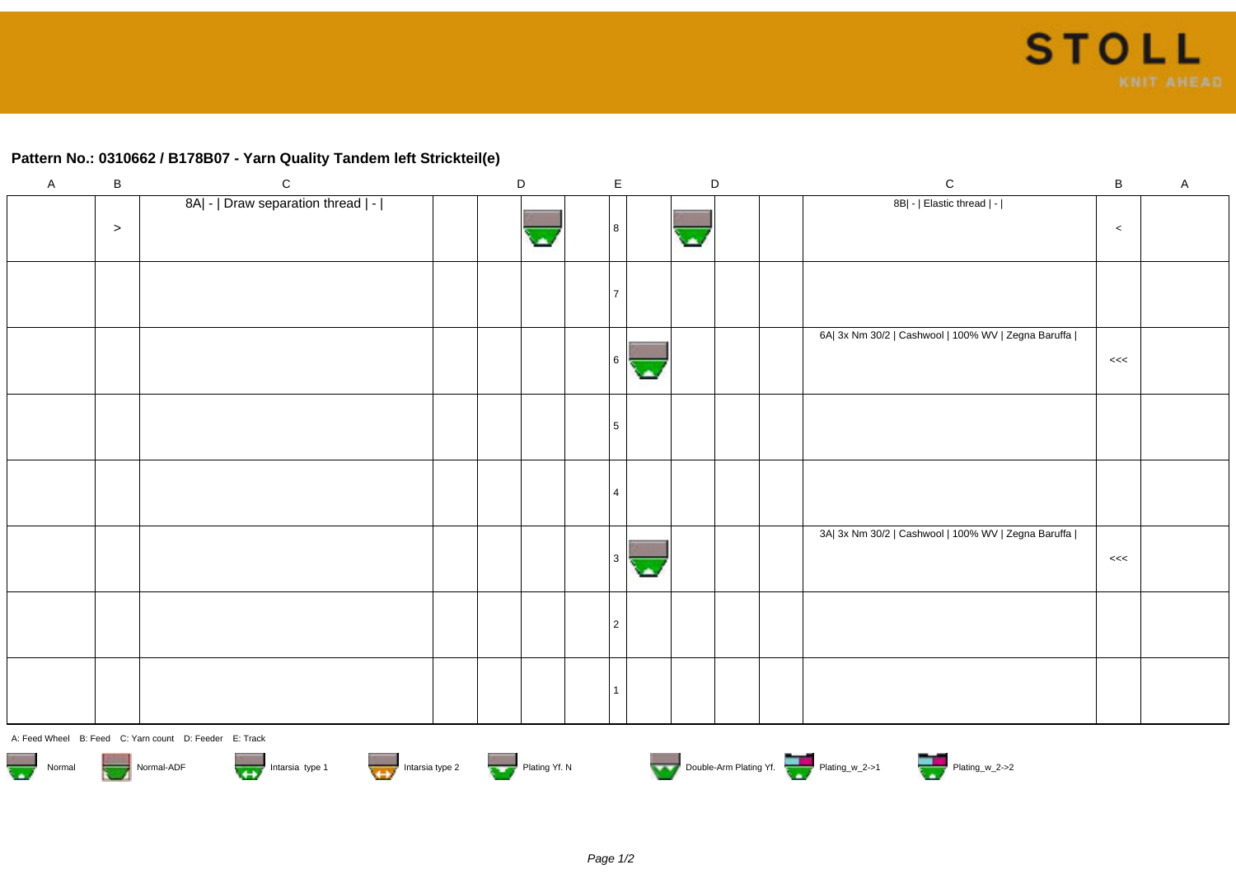## **Pattern No.: 0310662 / B178B07 - Yarn Quality Tandem left Strickteil(e)**

| $\mathsf{A}$ | $\, {\sf B}$ | ${\rm C}$                          | $\mathsf D$ | $\mathsf E$ |                          | $\mathsf D$ | ${\bf C}$                                           | $\sf B$ | $\mathsf{A}$ |
|--------------|--------------|------------------------------------|-------------|-------------|--------------------------|-------------|-----------------------------------------------------|---------|--------------|
|              | $\,>$        | 8A  -   Draw separation thread   - |             | 8           | $\overline{\phantom{a}}$ |             | 8B  -   Elastic thread   -                          | $\,<$   |              |
|              |              |                                    |             |             |                          |             |                                                     |         |              |
|              |              |                                    |             | 6           |                          |             | 6A  3x Nm 30/2   Cashwool   100% WV   Zegna Baruffa | <<      |              |
|              |              |                                    |             | 5           |                          |             |                                                     |         |              |
|              |              |                                    |             |             |                          |             |                                                     |         |              |
|              |              |                                    |             |             |                          |             | 3A  3x Nm 30/2   Cashwool   100% WV   Zegna Baruffa | <<      |              |
|              |              |                                    |             | 2           |                          |             |                                                     |         |              |
|              |              |                                    |             |             |                          |             |                                                     |         |              |

A: Feed Wheel B: Feed C: Yarn count D: Feeder E: Track